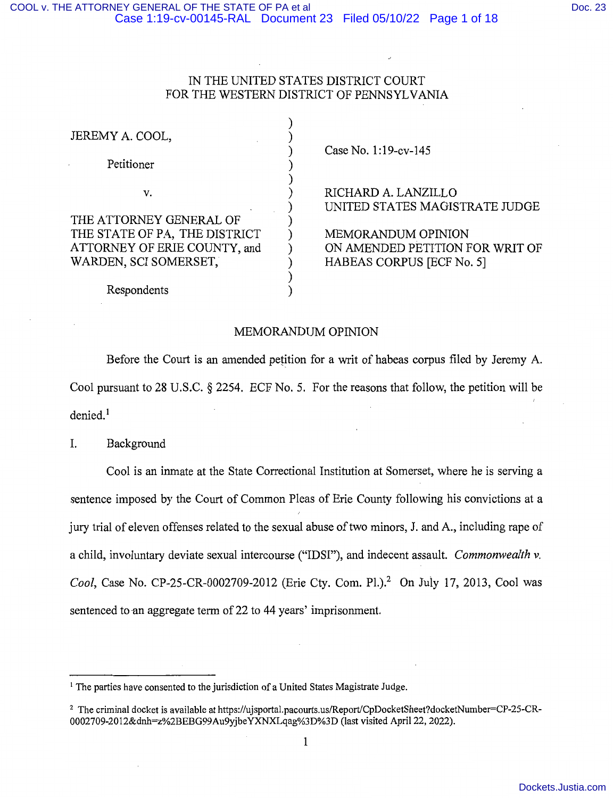# IN THE UNITED STATES DISTRICT COURT FOR THE WESTERN DISTRICT OF PENNSYLVANIA

| JEREMY A. COOL,<br>Petitioner | Case No. 1:19-cv-145                                  |
|-------------------------------|-------------------------------------------------------|
| V.                            | RICHARD A. LANZILLO<br>UNITED STATES MAGISTRATE JUDGE |
| THE ATTORNEY GENERAL OF       |                                                       |
| THE STATE OF PA, THE DISTRICT | <b>MEMORANDUM OPINION</b>                             |
| ATTORNEY OF ERIE COUNTY, and  | ON AMENDED PETITION FOR WRIT OF                       |
| WARDEN, SCI SOMERSET,         | HABEAS CORPUS [ECF No. 5]                             |
|                               |                                                       |
| Respondents                   |                                                       |

#### MEMORANDUM OPINION

Before the Court is an amended petition for a writ of habeas corpus filed by Jeremy A. Cool pursuant to 28 U.S.C. § 2254. ECF No. 5. For the reasons that follow, the petition will be  $denied.$ <sup>1</sup>

I. Background

Cool is an inmate at the State Correctional Institution at Somerset, where he is serving a sentence imposed by the Court of Common Pleas of Erie County following his convictions at a jury trial of eleven offenses related to the sexual abuse of two minors, J. and A., including rape of a child, involuntary deviate sexual intercourse ("IDSI"), and indecent assault. *Commonwealth v. Cool, Case No. CP-25-CR-0002709-2012 (Erie Cty, Com. Pl.).*<sup>2</sup> On July 17, 2013, Cool was sentenced to an aggregate term of 22 to 44 years' imprisonment.

<sup>&</sup>lt;sup>1</sup> The parties have consented to the jurisdiction of a United States Magistrate Judge.

<sup>&</sup>lt;sup>2</sup> The criminal docket is available at https://ujsportal.pacourts.us/Report/CpDocketSheet?docketNumber=CP-25-CR-0002709-2012&dnh=z%2BEBG99Au9yjbeYXNXLqag%3D%3D (last visited April 22, 2022).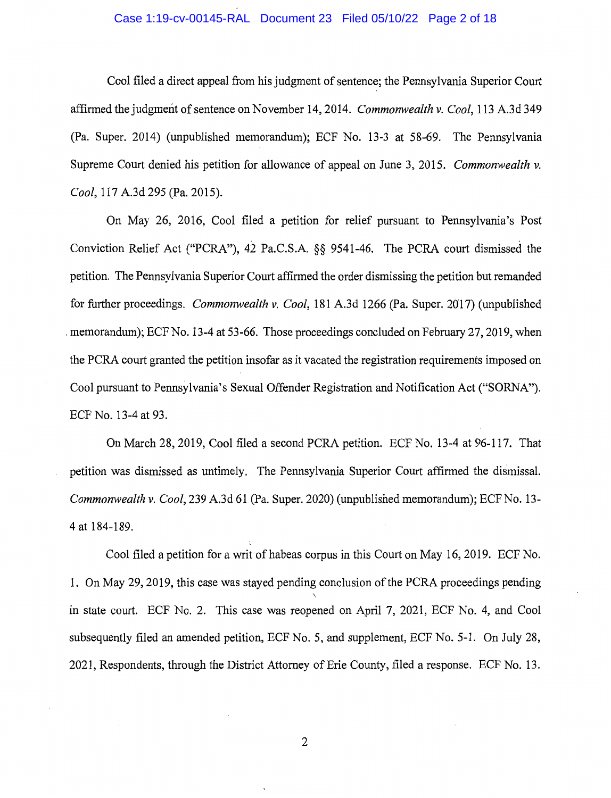## Case 1:19-cv-00145-RAL Document 23 Filed 05/10/22 Page 2 of 18

Cool filed a direct appeal from his judgment of sentence; the Pennsylvania Superior Court affirmed the judgment of sentence on November 14, 2014. *Commonwealth v. Cool*, 113 A.3d 349 (Pa. Super. 2014) (unpublished memorandum); ECF No. 13-3 at 58-69. The Pennsylvania Supreme Court denied his petition for allowance of appeal on June 3, 2015. *Commonwealth v. Cool,* 117 A.3d 295 (Pa. 2015).

On May 26, 2016, Cool filed a petition for relief pursuant to Pennsylvania's Post Conviction Relief Act ("PCRA"), 42 Pa.C.S.A. §§ 9541-46. The PCRA court dismissed the petition. The Pennsylvania Superior Court affirmed the order dismissing the petition but remanded for further proceedings. *Commonwealth v. Cool,* 181 A.3d 1266 (Pa. Super. 2017) (unpublished . memorandum); ECFNo. 13-4 at 53-66. Those proceedings concluded on February 27, 2019, when the PCRA court granted the petition insofar as it vacated the registration requirements imposed on Cool pursuant to Pennsylvania's Sexual Offender Registration and Notification Act ("SORNA"). ECF No. 13-4 at 93.

On March 28, 2019, Cool filed a second PCRA petition. ECF No. 13-4 at 96-117. That petition was dismissed as untimely. The Pennsylvania Superior Court affirmed the dismissal. *Commonwealth v. Cool,* 239 A.3d 61 (Pa. Super. 2020) (unpublished memorandum); ECF No. 13- 4 at 184-189.

Cool filed a petition for a writ of habeas corpus in this Court on May 16, 2019. ECF No. 1. On May 29, 2019, this case was stayed pending conclusion of the PCRA proceedings pending  $\ddot{\phantom{1}}$ in state court. ECF No. 2. This case was reopened on April 7, 2021, ECF No. 4, and Cool subsequently filed an amended petition, ECF No. 5, and supplement, ECF No. 5-1. On July 28, 2021, Respondents, through the District Attorney of Erie County, filed a response. ECF No. 13.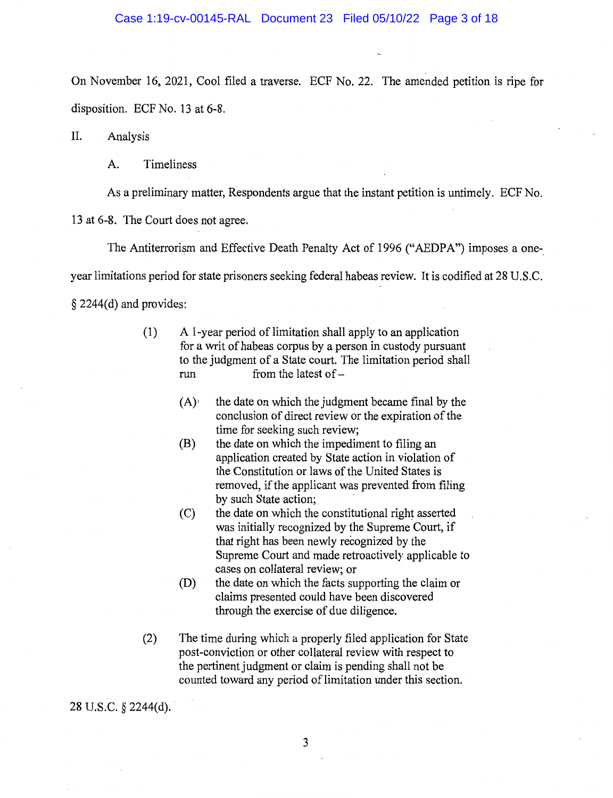On November 16, 2021, Cool filed a traverse. ECF No. 22. The amended petition is ripe for disposition. ECF No. 13 at 6-8.

II. Analysis

A. Timeliness

As a preliminary matter, Respondents argue that the instant petition is untimely. ECF No.

13 at 6-8. The Court does not agree.

The Antiterrorism and Effective Death Penalty Act of 1996 ("AEDPA") imposes a one-

year limitations period for state prisoners seeking federal habeas review. It is codified at 28 U.S.C.

§ 2244(d) and provides:

- $(1)$  A 1-year period of limitation shall apply to an application for a writ of habeas corpus by a person in custody pursuant to the judgment of a State court. The limitation period shall run from the latest of  $-$ 
	- $(A)$  the date on which the judgment became final by the conclusion of direct review or the expiration of the time for seeking such review;
	- (B) the date on which the impediment to filing an application created by State action in violation of the Constitution or laws of the United States is removed, if the applicant was prevented from filing by such State action;
	- (C) the date on which the constitutional right asserted was initially recognized by the Supreme Court, if that right has been newly recognized by the Supreme Court and made retroactively applicable to cases on collateral review; or
	- (D) the date on which the facts supporting the claim or claims presented could have been discovered through the exercise of due diligence.
- (2) The time during which a properly filed application for State post-conviction or other collateral review with respect to the pertinent judgment or claim is pending shall not be counted toward any period of limitation under this section.

28 U.S.C. § 2244(d).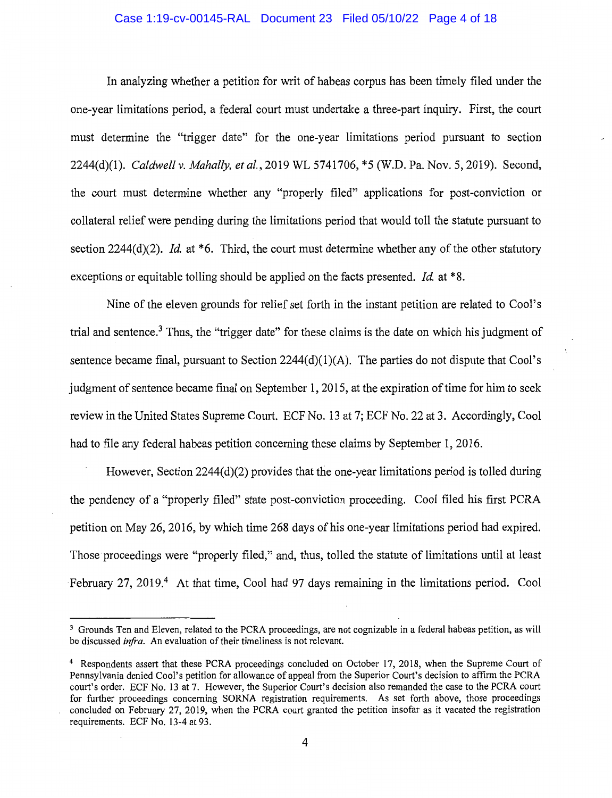# Case 1:19-cv-00145-RAL Document 23 Filed 05/10/22 Page 4 of 18

In analyzing whether a petition for writ of habeas corpus has been timely filed under the one-year limitations period, a federal court must undertake a three-part inquiry. First, the court must determine the "trigger date" for the one-year limitations period pursuant to section 2244(d)(l). *Caldwell v. Mahally, et al.,* 2019 WL 5741706, \*5 (W.D. Pa. Nov. 5, 2019). Second, the court must determine whether any "properly filed" applications for post-conviction or collateral relief were pending during the limitations period that would toll the statute pursuant to section 2244(d)(2). *Id.* at \*6. Third, the court must determine whether any of the other statutory exceptions or equitable tolling should be applied on the facts presented. *Id.* at \*8.

Nine of the eleven grounds for relief set forth in the instant petition are related to Cool's trial and sentence.<sup>3</sup> Thus, the "trigger date" for these claims is the date on which his judgment of sentence became final, pursuant to Section  $2244(d)(1)(A)$ . The parties do not dispute that Cool's judgment of sentence became final on September 1, 2015, at the expiration of time for him to seek review in the United States Supreme Court. ECF No. 13 at 7; ECF No. 22 at 3. Accordingly, Cool had to file any federal habeas petition concerning these claims by September 1, 2016.

However, Section 2244(d)(2) provides that the one-year limitations period is tolled during the pendency of a "properly filed" state post-conviction proceeding. Cool filed his first PCRA petition on May 26, 2016, by which time 268 days of his one-year limitations period had expired. Those proceedings were "properly filed," and, thus, tolled the statute of limitations until at least February 27, 2019.<sup>4</sup> At that time, Cool had 97 days remaining in the limitations period. Cool

<sup>&</sup>lt;sup>3</sup> Grounds Ten and Eleven, related to the PCRA proceedings, are not cognizable in a federal habeas petition, as will be discussed *infra.* An evaluation of their timeliness is not relevant.

<sup>4</sup>Respondents assert that these PCRA proceedings concluded on October 17, 2018, when the Supreme Court of Pennsylvania denied Cool's petition for allowance of appeal from the Superior Court's decision to affirm the PCRA court's order. ECF No. 13 at 7. However, the Superior Court's decision also remanded the case to the PCRA court for further proceedings concerning SORNA registration requirements. As set forth above, those proceedings concluded on February 27, 2019, when the PCRA court granted the petition insofar as it vacated the registration requirements. ECF No. 13-4 at 93.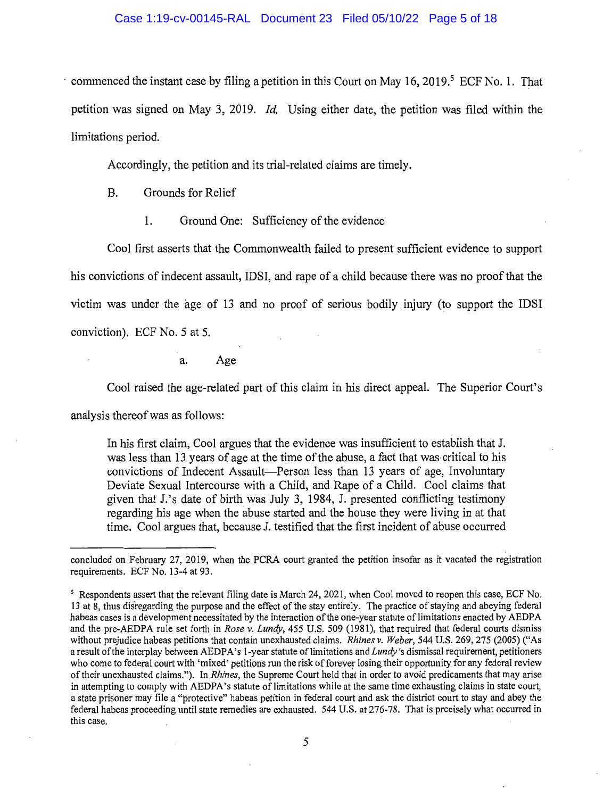#### Case 1:19-cv-00145-RAL Document 23 Filed 05/10/22 Page 5 of 18

commenced the instant case by filing a petition in this Court on May 16, 2019.<sup>5</sup> ECF No. 1. That petition was signed on May 3, 2019. *Id.* Using either date, the petition was filed within the limitations period.

Accordingly, the petition and its trial-related claims are timely.

B. Grounds for Relief

1. Ground One: Sufficiency of the evidence

Cool first asserts that the Commonwealth failed to present sufficient evidence to support his convictions of indecent assault, IDSI, and rape of a child because there was no proof that the victim was under the age of 13 and no proof of serious bodily injury (to support the IDSI conviction). ECF No. 5 at 5.

a. Age

Cool raised the age-related part of this claim in his direct appeal. The Superior Court's

analysis thereof was as follows:

In his first claim, Cool argues that the evidence was insufficient to establish that J. was less than 13 years of age at the time of the abuse, a fact that was critical to his convictions of Indecent Assault-Person less than 13 years of age, Involuntary Deviate Sexual Intercourse with a Child, and Rape of a Child. Cool claims that given that J.'s date of birth was July 3, 1984, J. presented conflicting testimony regarding his age when the abuse started and the house they were living in at that time. Cool argues that, because J. testified that the first incident of abuse occurred

concluded on February 27, 2019, when the PCRA court granted the petition insofar as it vacated the registration requirements. ECF No. 13-4 at 93.

<sup>&</sup>lt;sup>5</sup> Respondents assert that the relevant filing date is March 24, 2021, when Cool moved to reopen this case, ECF No. 13 at 8, thus disregarding the purpose and the effect of the stay entirely. The practice of staying and abeying federal habeas cases is a development necessitated by the interaction of the one-year statute of limitations enacted by AEDPA and the pre-AEDPA rule set forth in *Rose v. Lundy,* 455 U.S. 509 (1981), that required that federal courts dismiss without prejudice habeas petitions that contain unexhausted claims. *Rhines v. Weber,* 544 U.S. 269, 275 (2005) ("As a result of the interplay between AEDPA's 1-year statute of limitations and *Lundy's* dismissal requirement, petitioners who come to federal court with 'mixed' petitions run the risk of forever losing their opportunity for any federal review of their unexhausted claims."). In *Rhines,* the Supreme Court held that in order to avoid predicaments that may arise in attempting to comply with AEDPA's statute of limitations while at the same time exhausting claims in state court, a state prisoner may file a "protective" habeas petition in federal court and ask the district court to stay and abey the federal habeas proceeding until state remedies are exhausted. 544 U.S. at 276-78. That is precisely what occurred in this case.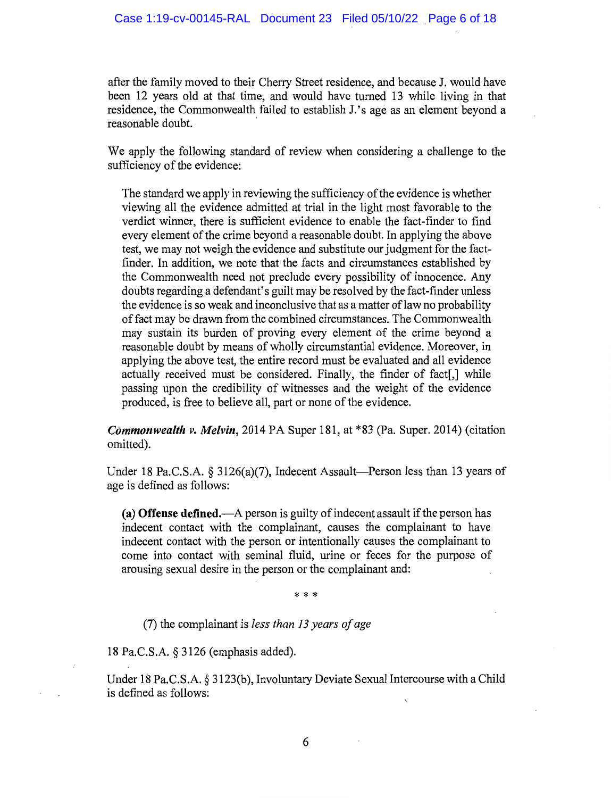after the family moved to their Cherry Street residence, and because J. would have been 12 years old at that time, and would have turned 13 while living in that residence, the Commonwealth failed to establish J.'s age as an element beyond a reasonable doubt.

We apply the following standard of review when considering a challenge to the sufficiency of the evidence:

The standard we apply in reviewing the sufficiency of the evidence is whether viewing all the evidence admitted at trial in the light most favorable to the verdict winner, there is sufficient evidence to enable the fact-finder to find every element of the crime beyond a reasonable doubt. In applying the above test, we may not weigh the evidence and substitute our judgment for the factfinder. In addition, we note that the facts and circumstances established by the Commonwealth need not preclude every possibility of innocence. Any doubts regarding a defendant's guilt may be resolved by the fact-finder unless the evidence is so weak and inconclusive that as a matter of law no probability of fact may be drawn from the combined circumstances. The Commonwealth may sustain its burden of proving every element of the crime beyond a reasonable doubt by means of wholly circumstantial evidence. Moreover, in applying the above test, the entire record must be evaluated and all evidence actually received must be considered. Finally, the finder of fact[,] while passing upon the credibility of witnesses and the weight of the evidence produced, is free to believe all, part or none of the evidence.

*Commonwealth v. Melvin,* 2014 PA Super 181, at \*83 (Pa. Super. 2014) (citation omitted).

Under 18 Pa.C.S.A.  $\S$  3126(a)(7), Indecent Assault-Person less than 13 years of age is defined as follows:

**(a) Offense defined.-A** person is guilty of indecent assault if the person has indecent contact with the complainant, causes the complainant to have indecent contact with the person or intentionally causes the complainant to come into contact with seminal fluid, urine or feces for the purpose of arousing sexual desire in the person or the complainant and:

\* \* \*

(7) the complainant is *less than 13 years of age* 

18 Pa.C.S.A. § 3126 (emphasis added).

Under 18 Pa.C.S.A. § 3123(b), Involuntary Deviate Sexual Intercourse with a Child is defined as follows: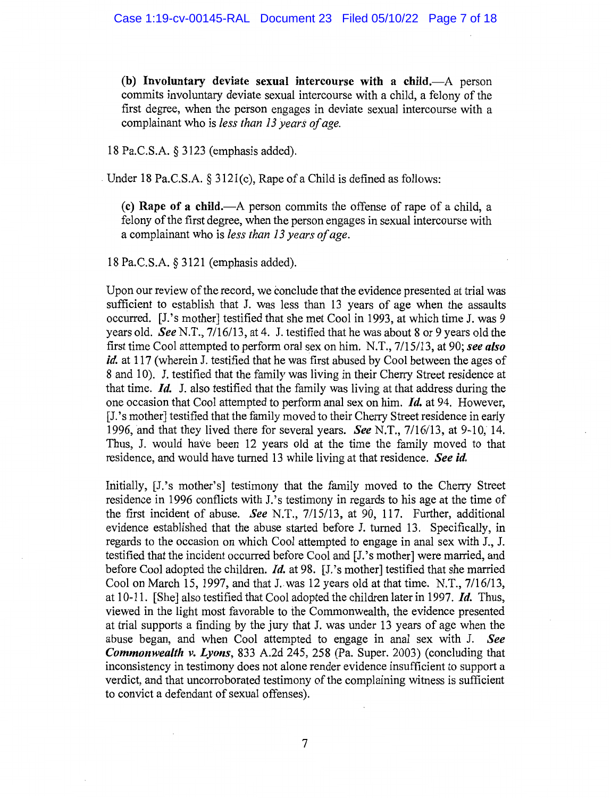**(b) Involuntary deviate sexual intercourse with a child.-A** person commits involuntary deviate sexual intercourse with a child, a felony of the first degree, when the person engages in deviate sexual intercourse with a complainant who is *less than 13 years of age.* 

18 Pa.C.S.A. § 3123 (emphasis added).

Under 18 Pa.C.S.A.  $\S$  3121(c), Rape of a Child is defined as follows:

**(c) Rape of a child.-A** person commits the offense of rape of a child, a felony of the first degree, when the person engages in sexual intercourse with a complainant who is *less than 13 years of age.* 

18 Pa.C.S.A. § 3121 (emphasis added).

Upon our review of the record, we conclude that the evidence presented at trial was sufficient to establish that J. was less than 13 years of age when the assaults occurred. [J.'s mother] testified that she met Cool in 1993, at which time J. was 9 years old. *See* N.T., 7/16/13, at 4. J. testified that he was about 8 or 9 years old the first time Cool attempted to perform oral sex on him. N.T., 7 /15/13, at 90; *see also id.* at 117 (wherein J. testified that he was first abused by Cool between the ages of 8 and 10). J. testified that the family was living in their Cherry Street residence at that time. *Id.* J. also testified that the family was living at that address during the one occasion that Cool attempted to perform anal sex on him. *Id.* at 94. However, [J.'s mother] testified that the family moved to their Cherry Street residence in early 1996, and that they lived there for several years. *See* N.T., 7/16/13, at 9-10, 14. Thus, J. would have been 12 years old at the time the family moved to that residence, and would have turned 13 while living at that residence. *See id.* 

Initially, [J.'s mother's] testimony that the family moved to the Cherry Street residence in 1996 conflicts with J.'s testimony in regards to his age at the time of the first incident of abuse. *See* N.T., 7/15/13, at 90, 117. Further, additional evidence established that the abuse started before J. turned 13. Specifically, in regards to the occasion on which Cool attempted to engage in anal sex with J., J. testified that the incident occurred before Cool and [J.'s mother] were married, and before Cool adopted the children. *Id.* at 98. [J.'s mother] testified that she married Cool on March 15, 1997, and that J..was 12 years old at that time. N.T., 7/16/13, at 10-11. [She] also testified that Cool adopted the children later in 1997. *Id.* Thus, viewed in the light most favorable to the Commonwealth, the evidence presented at trial supports a finding by the jury that J. was under 13 years of age when the abuse began, and when Cool attempted to engage in anal sex with J. *See Commonwealth v. Lyons,* 833 A.2d 245, 258 (Pa. Super. 2003) (concluding that inconsistency in testimony does not alone render evidence insufficient to support a verdict, and that uncorroborated testimony of the complaining witness is sufficient to convict a defendant of sexual offenses).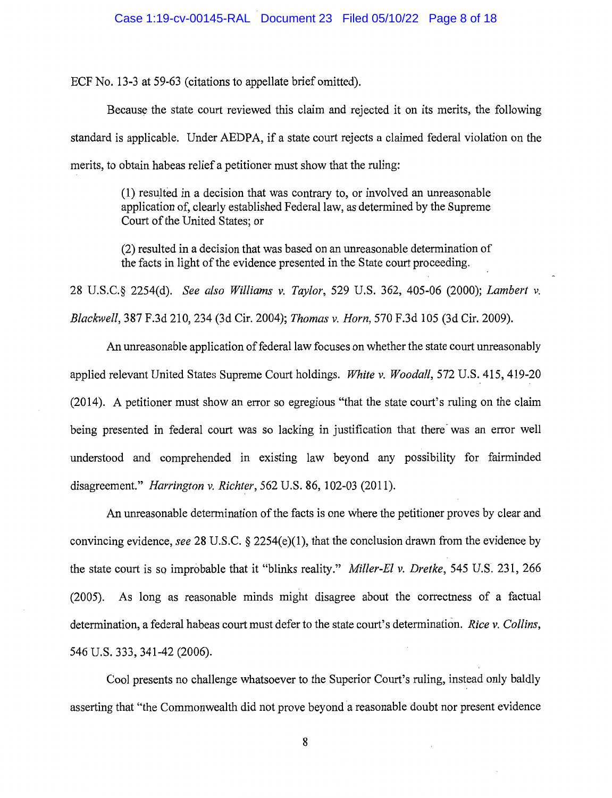ECF No. 13-3 at 59-63 (citations to appellate brief omitted).

Because the state court reviewed this claim and rejected it on its merits, the following standard is applicable. Under AEDPA, if a state court rejects a claimed federal violation on the merits, to obtain habeas relief a petitioner must show that the ruling:

> (1) resulted in a decision that was contrary to, or involved an unreasonable application of, clearly established Federal law, as determined by the Supreme Court of the United States; or

> (2) resulted in a decision that was based on an unreasonable determination of the facts in light of the evidence presented in the State court proceeding.

28 U.S.C.§ 2254(d). *See also Williams v. Taylor,* 529 U.S. 362, 405-06 (2000); *Lambert v. Blackwell,* 387 F.3d 210, 234 (3d Cir. 2004); *Thomas v. Horn,* 570 F.3d 105 (3d Cir. 2009).

An unreasonable application of federal law focuses on whether the state court unreasonably applied relevant United States Supreme Court holdings. *White v. Woodall,* 572 U.S. 415, 419-20 (2014). A petitioner must show an error so egregious "that the state court's ruling on the claim being presented in federal court was so lacking in justification that there was an error well understood and comprehended in existing law beyond any possibility for fairminded disagreement." *Harrington v. Richter,* 562 U.S. 86, 102-03 (2011).

An unreasonable determination of the facts is one where the petitioner proves by clear and convincing evidence, *see* 28 U.S.C. § 2254(e)(l), that the conclusion drawn from the evidence by the state court is so improbable that it "blinks reality." *Miller-El v. Dretke,* 545 U.S. 231, 266 (2005). As long as reasonable minds might disagree about the correctness of a factual determination, a federal habeas court must defer to the state court's determination. *Rice v. Collins,*  546 U.S. 333, 341-42 (2006).

Cool presents no challenge whatsoever to the Superior Court's ruling, instead only baldly asserting that "the Commonwealth did not prove beyond a reasonable doubt nor present evidence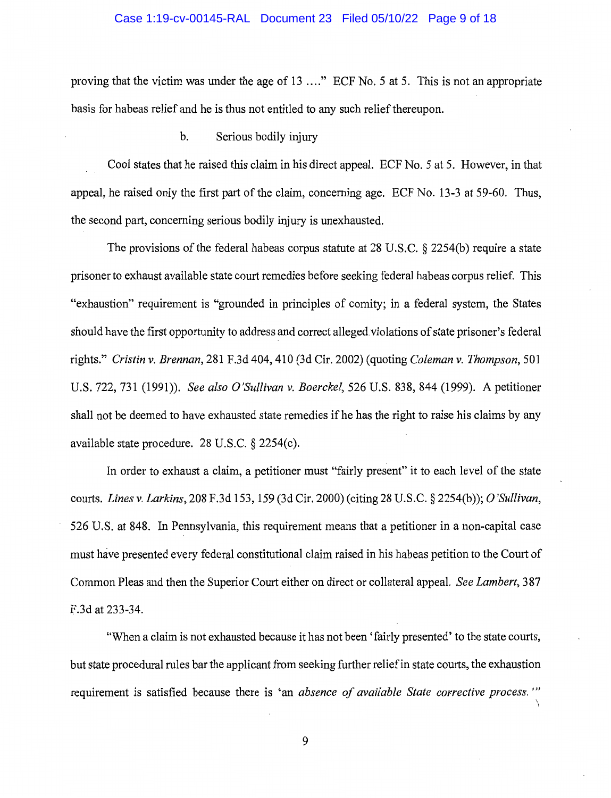#### Case 1:19-cv-00145-RAL Document 23 Filed 05/10/22 Page 9 of 18

proving that the victim was under the age of 13 .... " ECF No. 5 at 5. This is not an appropriate basis for habeas relief and he is thus not entitled to any such relief thereupon.

#### b. Serious bodily injury

Cool states that he raised this claim in his direct appeal. ECF No. 5 at 5. However, in that appeal, he raised only the first part of the claim, concerning age. ECF No. 13-3 at 59-60. Thus, the second part, concerning serious bodily injury is unexhausted.

The provisions of the federal habeas corpus statute at 28 U.S.C. § 2254(b) require a state prisoner to exhaust available state court remedies before seeking federal habeas corpus relief. This "exhaustion" requirement is "grounded in principles of comity; in a federal system, the States should have the first opportunity to address and correct alleged violations of state prisoner's federal rights." *Cristin v. Brennan,* 281 F.3d 404,410 (3d Cir. 2002) (quoting *Coleman v. Thompson,* 501 U.S. 722, 731 (1991)). *See also O'Sullivan v. Boerckel,* 526 U.S. 838,844 (1999). A petitioner shall not be deemed to have exhausted state remedies if he has the right to raise his claims by any available state procedure. 28 U.S.C. § 2254(c).

In order to exhaust a claim, a petitioner must "fairly present" it to each level of the state courts. *Lines v. Larkins,* 208 F.3d 153, 159 (3d Cir. 2000)(citing 28 U.S.C. § 2254(b)); *0 'Sullivan,*  526 U.S. at 848. In Pennsylvania, this requirement means that a petitioner in a non-capital case must have presented every federal constitutional claim raised in his habeas petition to the Court of Common Pleas and then the Superior Court either on direct or collateral appeal. *See Lambert,* 3 87 F.3d at 233-34.

"When a claim is not exhausted because it has not been 'fairly presented' to the state courts, but state procedural rules bar the applicant from seeking further relief in state courts, the exhaustion requirement is satisfied because there is 'an *absence of available State corrective process."'*   $\overline{a}$ 

I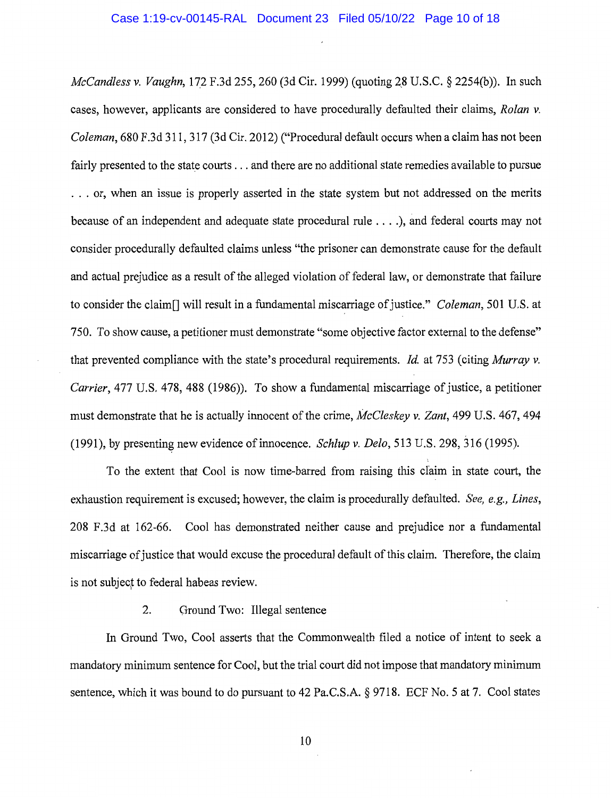*McCandless v. Vaughn, 172 F.3d 255, 260 (3d Cir. 1999) (quoting 28 U.S.C. § 2254(b)).* In such cases, however, applicants are considered to have procedurally defaulted their claims, *Rolan v. Coleman,* 680 F .3d 311, 317 (3d Cir. 2012) ("Procedural default occurs when a claim has not been fairly presented to the state courts ... and there are no additional state remedies available to pursue ... or, when an issue is properly asserted in the state system but not addressed on the merits because of an independent and adequate state procedural rule .... ), and federal courts may not consider procedurally defaulted claims unless ''the prisoner can demonstrate cause for the default and actual prejudice as a result of the alleged violation of federal law, or demonstrate that failure to consider the claim[] will result in a fundamental miscarriage of justice." *Coleman,* 501 U.S. at 750. To show cause, a petitioner must demonstrate "some objective factor external to the defense" that prevented compliance with the state's procedural requirements. *Id* at 753 (citing *Murray v. Carrier,* 477 U.S. 478, 488 (1986)). To show a fundamental miscarriage of justice, a petitioner must demonstrate that he is actually innocent of the crime, *McCleskey v. Zant,* 499 U.S. 467,494 (1991), by presenting new evidence of innocence. *Schlup v. Delo,* 513 U.S. 298, 316 (1995).

To the extent that Cool is now time-barred from raising this claim in state court, the exhaustion requirement is excused; however, the claim is procedurally defaulted. *See, e.g., Lines,*  208 F.3d at 162-66. Cool has demonstrated neither cause and prejudice nor a fundamental miscarriage of justice that would excuse the procedural default of this claim. Therefore, the claim is not subject to federal habeas review.

# 2. Oround Two: Illegal sentence

In Ground Two, Cool asserts that the Commonwealth filed a notice of intent to seek a mandatory minimum sentence for Cool, but the trial court did not impose that mandatory minimum sentence, which it was bound to do pursuant to 42 Pa.C.S.A. § 9718. ECF No. 5 at 7. Cool states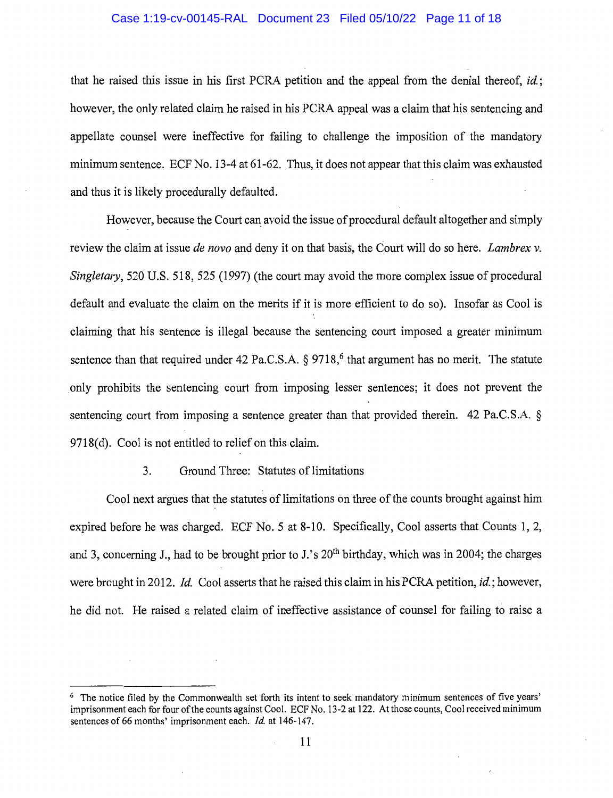## Case 1:19-cv-00145-RAL Document 23 Filed 05/10/22 Page 11 of 18

that he raised this issue in his first PCRA petition and the appeal from the denial thereof, *id* ; however, the only related claim he raised in his PCRA appeal was a claim that his sentencing and appellate counsel were ineffective for failing to challenge the imposition of the mandatory minimum sentence. ECF No. 13-4 at 61-62. Thus, it does not appear that this claim was exhausted and thus it is likely procedurally defaulted.

However, because the Court can avoid the issue of procedural default altogether and simply review the claim at issue *de nova* and deny it on that basis, the Court will do so here. *Lambrex v. Singletary,* 520 U.S. 518, 525 (1997) (the court may avoid the more complex issue of procedural default and evaluate the claim on the merits if it is more efficient to do so). Insofar as Cool is claiming that his sentence is illegal because the sentencing court imposed a greater minimum sentence than that required under 42 Pa.C.S.A.  $\delta$  9718,<sup>6</sup> that argument has no merit. The statute . only prohibits the sentencing court from imposing lesser sentences; it does not prevent the sentencing court from imposing a sentence greater than that provided therein. 42 Pa.C.S.A. § 9718(d). Cool is not entitled to relief on this claim.

# 3. Ground Three: Statutes of limitations

Cool next argues that the statutes of limitations on three of the counts brought against him expired before he was charged. ECF No. 5 at 8-10. Specifically, Cool asserts that Counts 1, 2, and 3, concerning J., had to be brought prior to J.'s  $20<sup>th</sup>$  birthday, which was in 2004; the charges were brought in 2012. *Id.* Cool asserts that he raised this claim in his PCRA petition, *id.*; however, he did not. He raised a related claim of ineffective assistance of counsel for failing to raise a

<sup>&</sup>lt;sup>6</sup> The notice filed by the Commonwealth set forth its intent to seek mandatory minimum sentences of five years' imprisonment each for four of the counts against Cool. ECF No. 13-2 at 122. At those counts, Cool received minimum sentences of 66 months' imprisonment each. *Id.* at 146-147.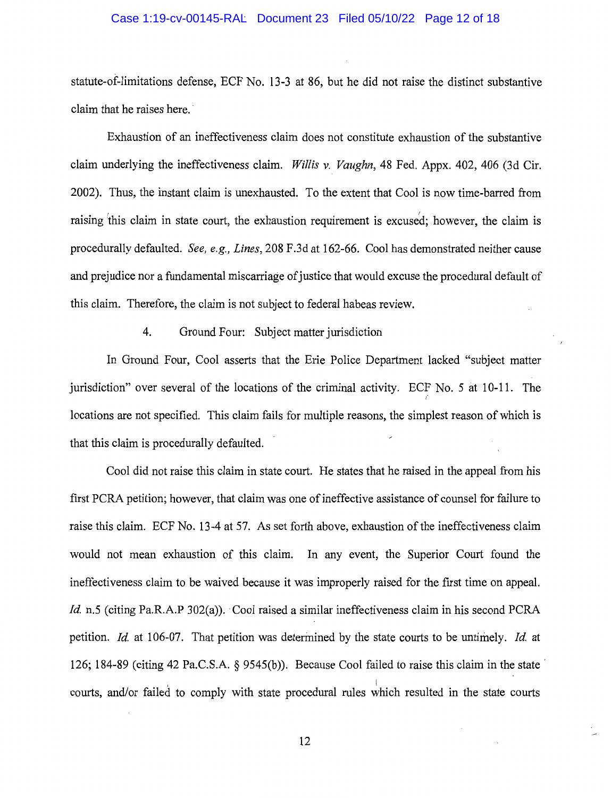## Case 1:19-cv-00145-RAL Document 23 Filed 05/10/22 Page 12 of 18

statute-of-limitations defense, ECF No. 13-3 at 86, but he did not raise the distinct substantive claim that he raises here.

Exhaustion of an ineffectiveness claim does not constitute exhaustion of the substantive claim underlying the ineffectiveness claim. *Willis v. Vaughn,* 48 Fed. Appx. 402, 406 (3d Cir. 2002). Thus, the instant claim is unexhausted. To the extent that Cool is now time-barred from raising this claim in state court, the exhaustion requirement is excused; however, the claim is procedurally defaulted. *See, e.g., Lines,* 208 F.3d at 162-66. Cool has demonstrated neither cause and prejudice nor a fundamental miscarriage of justice that would excuse the procedural default of this claim. Therefore, the claim is not subject to federal habeas review.

# 4. Ground Four: Subject matter jurisdiction

In Ground Four, Cool asserts that the Erie Police Department lacked "subject matter jurisdiction" over several of the locations of the criminal activity. ECF No. 5 at 10-11. The *(*  locations are not specified. This claim fails for multiple reasons, the simplest reason of which is that this claim is procedurally defaulted.

Cool did not raise this claim in state court. He states that he raised in the appeal from his first PCRA petition; however, that claim was one of ineffective assistance of counsel for failure to raise this claim. ECF No. 13-4 at 57. As set forth above, exhaustion of the ineffectiveness claim would not mean exhaustion of this claim. In any event, the Superior Court found the ineffectiveness claim to be waived because it was improperly raised for the first time on appeal. *Id.* n.5 (citing Pa.R.A.P 302(a)). Cool raised a similar ineffectiveness claim in his second PCRA petition. *Id.* at 106-07. That petition was determined by the state courts to be untimely. *Id.* at 126; 184-89 (citing 42 Pa.C.S.A. § 9545(b)). Because Cool failed to raise this claim in the state , In the contract of the contract of the contract of the contract of the contract of the contract of the contract of the contract of the contract of the contract of the contract of the contract of the contract of the cont courts, and/or failed to comply with state procedural rules which resulted in the state courts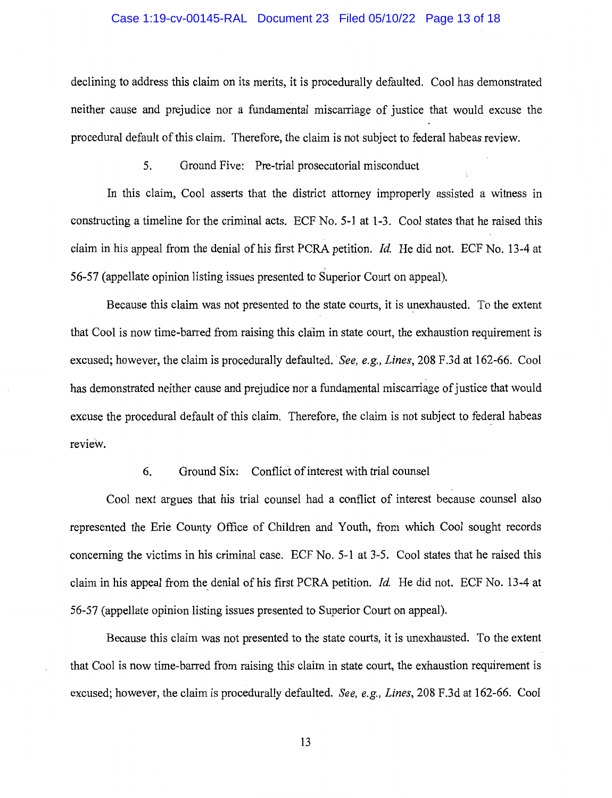## Case 1:19-cv-00145-RAL Document 23 Filed 05/10/22 Page 13 of 18

declining to address this claim on its merits, it is procedurally defaulted. Cool has demonstrated neither cause and prejudice nor a fundamental miscarriage of justice that would excuse the procedural default of this claim. Therefore, the claim is not subject to federal habeas review.

5. Ground Five: Pre-trial prosecutorial misconduct

In this claim, Cool asserts that the district attorney improperly assisted a witness in constructing a timeline for the criminal acts. ECF No. 5-1 at 1-3. Cool states that he raised this claim in his appeal from the denial of his first PCRA petition. *Id.* He did not. ECF No. 13-4 at 56-57 (appellate opinion listing issues presented to Superior Court on appeal).

Because this claim was not presented to the state courts, it is unexhausted. To the extent that Cool is now time-barred from raising this claim in state court, the exhaustion requirement is excused; however, the claim is procedurally defaulted. *See, e.g., Lines,* 208 F.3d at 162-66. Cool has demonstrated neither cause and prejudice nor a fundamental miscarriage of justice that would excuse the procedural default of this claim. Therefore, the claim is not subject to federal habeas review.

## 6. Ground Six: Conflict of interest with trial counsel

Cool next argues that his trial counsel had a conflict of interest because counsel also represented the Erie County Office of Children and Youth, from which Cool sought records concerning the victims in his criminal case. ECF No. 5-1 at 3-5. Cool states that he raised this claim in his appeal from the denial of his first PCRA petition. *Id.* He did not. ECF No. 13-4 at 56-57 (appellate opinion listing issues presented to Superior Court on appeal).

Because this claim was not presented to the state courts, it is unexhausted. To the extent that Cool is now time-barred from raising this claim in state court, the exhaustion requirement is excused; however, the claim is procedurally defaulted. *See, e.g., Lines,* 208 F.3d at 162-66. Cool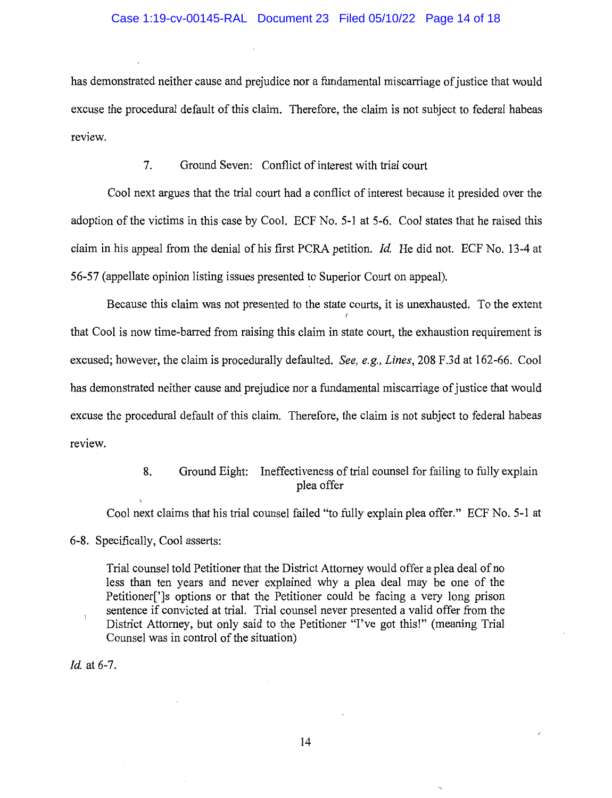# Case 1:19-cv-00145-RAL Document 23 Filed 05/10/22 Page 14 of 18

has demonstrated neither cause and prejudice nor a fundamental miscarriage of justice that would excuse the procedural default of this claim. Therefore, the claim is not subject to federal habeas review.

# 7. Ground Seven: Conflict of interest with trial court

Cool next argues that the trial court had a conflict of interest because it presided over the adoption of the victims in this case by Cool. ECF No. 5-1 at 5-6. Cool states that he raised this claim in his appeal from the denial of his first PCRA petition. *Id.* He did not. ECF No. 13-4 at 56-57 (appellate opinion listing issues presented to Superior Court on appeal).

Because this claim was not presented to the state courts, it is unexhausted. To the extent that Cool is now time-barred from raising this claim in state court, the exhaustion requirement is excused; however, the claim is procedurally defaulted. *See, e.g., Lines,* 208 F.3d at 162-66. Cool has demonstrated neither cause and prejudice nor a fundamental miscarriage of justice that would excuse the procedural default of this claim. Therefore, the claim is not subject to federal habeas review.

# 8. Ground Eight: Ineffectiveness of trial counsel for failing to fully explain plea offer

Cool next claims that his trial counsel failed "to fully explain plea offer." ECF No. 5-1 at

6-8. Specifically, Cool asserts:

Trial counsel told Petitioner that the District Attorney would offer a plea deal of no less than ten years and never explained why a plea deal may be one of the Petitioner[']s options or that the Petitioner could be facing a very long prison sentence if convicted at trial. Trial counsel never presented a valid offer from the District Attorney, but only said to the Petitioner "I've got this!" (meaning Trial Counsel was in control of the situation)

*Id.* at 6-7.

 $\boldsymbol{\mathcal{I}}$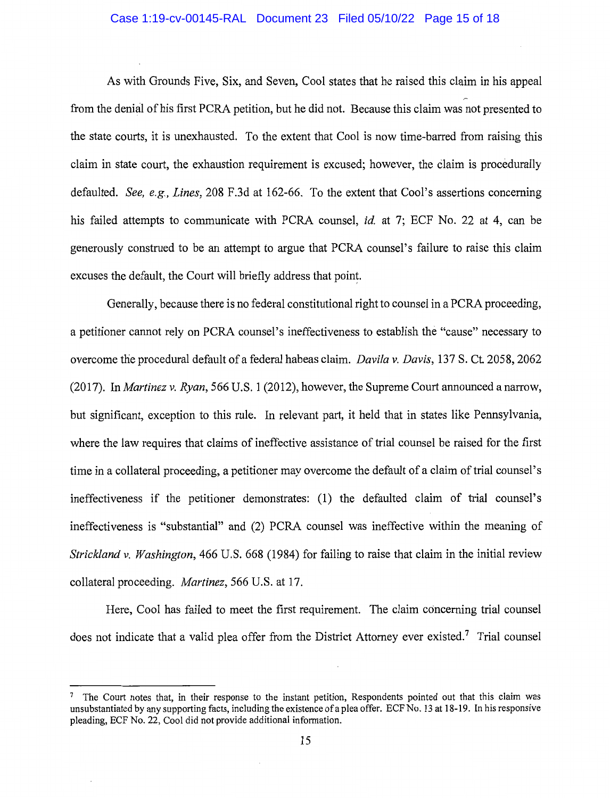## Case 1:19-cv-00145-RAL Document 23 Filed 05/10/22 Page 15 of 18

As with Grounds Five, Six, and Seven, Cool states that he raised this claim in his appeal from the denial of his first PCRA petition, but he did not. Because this claim was not presented to the state courts, it is unexhausted. To the extent that Cool is now time-barred from raising this claim in state court, the exhaustion requirement is excused; however, the claim is procedurally defaulted. *See, e.g., Lines,* 208 F.3d at 162-66. To the extent that Coal's assertions concerning his failed attempts to communicate with PCRA counsel, *id.* at 7; ECF No. 22 at 4, can be generously construed to be an attempt to argue that PCRA counsel's failure to raise this claim excuses the default, the Court will briefly address that point.

Generally, because there is no federal constitutional right to counsel in a PCRA proceeding, a petitioner cannot rely on PCRA counsel's ineffectiveness to establish the "cause" necessary to overcome the procedural default of a federal habeas claim. *Davila v. Davis,* 137 S. Ct. 2058, 2062 (2017). In *Martinez v. Ryan,* 566 U.S. 1 (2012), however, the Supreme Court announced a narrow, but significant, exception to this rule. In relevant part, it held that in states like Pennsylvania, where the law requires that claims of ineffective assistance of trial counsel be raised for the first time in a collateral proceeding, a petitioner may overcome the default of a claim of trial counsel's ineffectiveness if the petitioner demonstrates: (1) the defaulted claim of trial counsel's ineffectiveness is "substantial" and (2) PCRA counsel was ineffective within the meaning of *Strickland v. Washington,* 466 U.S. 668 (1984) for failing to raise that claim in the initial review collateral proceeding. *Martinez,* 566 U.S. at 17.

Here, Cool has failed to meet the first requirement. The claim concerning trial counsel does not indicate that a valid plea offer from the District Attorney ever existed.<sup>7</sup> Trial counsel

<sup>&</sup>lt;sup>7</sup> The Court notes that, in their response to the instant petition, Respondents pointed out that this claim was unsubstantiated by any supporting facts, including the existence of a plea offer. ECF No. 13 at 18-19. In his responsive pleading, ECF No. 22, Cool did not provide additional information.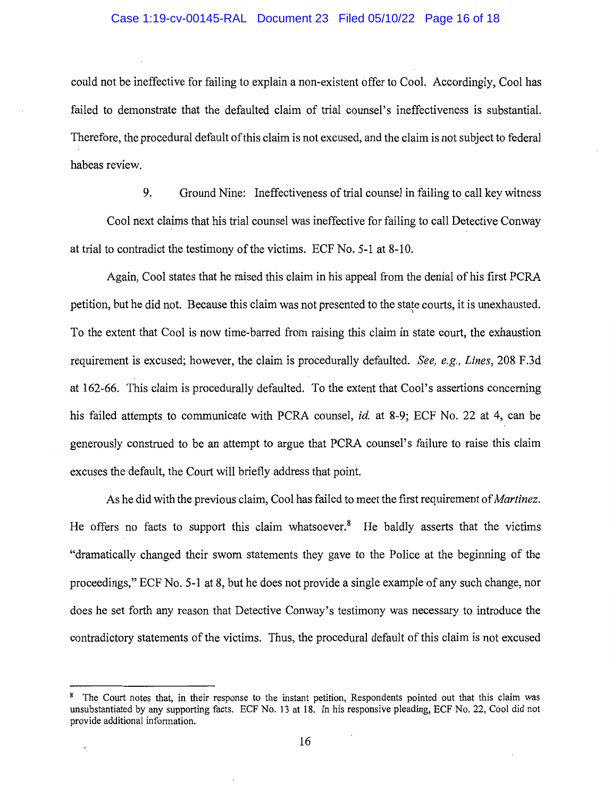## Case 1:19-cv-00145-RAL Document 23 Filed 05/10/22 Page 16 of 18

could not be ineffective for failing to explain a non-existent offer to Cool. Accordingly, Cool has failed to demonstrate that the defaulted claim of trial counsel's ineffectiveness is substantial. Therefore, the procedural default of this claim is not excused, and the claim is not subject to federal habeas review.

9. Ground Nine: Ineffectiveness of trial counsel in failing to call key witness

Cool next claims that his trial counsel was ineffective for failing to call Detective Conway at trial to contradict the testimony of the victims. ECF No. 5-1 at 8-10.

Again, Cool states that he raised this claim in his appeal from the denial of his first PCRA petition, but he did not. Because this claim was not presented to the state courts, it is unexhausted. \ To the extent that Cool is now time-barred from raising this claim in state court, the exhaustion requirement is excused; however, the claim is procedurally defaulted. *See, e.g., Lines,* 208 F.3d at 162-66. This claim is procedurally defaulted. To the extent that Cool's assertions concerning his failed attempts to communicate with PCRA counsel, *id.* at 8-9; ECF No. 22 at 4, can be generously construed to be an attempt to argue that PCRA counsel's failure to raise this claim excuses the default, the Court will briefly address that point.

As he did with the previous claim, Cool has failed to meet the first requirement of *Martinez.*  He offers no facts to support this claim whatsoever.<sup>8</sup> He baldly asserts that the victims "dramatically changed their sworn statements they gave to the Police at the beginning of the proceedings," ECF No. 5-1 at 8, but he does not provide a single example of any such change, nor does he set forth any reason that Detective Conway's testimony was necessary to introduce the contradictory statements of the victims. Thus, the procedural default of this claim is not excused

 $\overline{a}$ 

<sup>&</sup>lt;sup>8</sup> The Court notes that, in their response to the instant petition, Respondents pointed out that this claim was unsubstantiated by any supporting facts. ECF No. 13 at 18. In his responsive pleading, ECF No. 22, Cool did not provide additional information.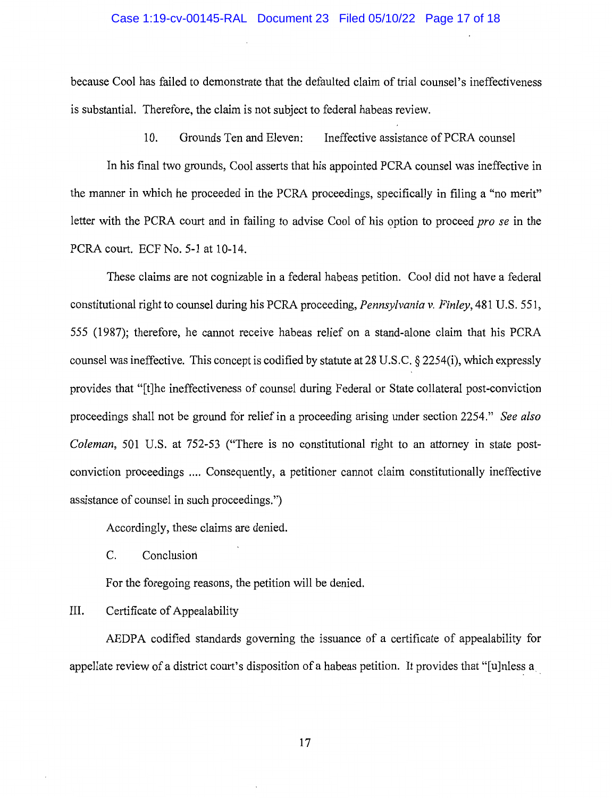## Case 1:19-cv-00145-RAL Document 23 Filed 05/10/22 Page 17 of 18

because Cool has failed to demonstrate that the defaulted claim of trial counsel's ineffectiveness is substantial. Therefore, the claim is not subject to federal habeas review.

10. Grounds Ten and Eleven: Ineffective assistance of PCRA counsel

In his final two grounds, Cool asserts that his appointed PCRA counsel was ineffective in the manner in which he proceeded in the PCRA proceedings, specifically in filing a "no merit" letter with the PCRA court and in failing to advise Cool of his option to proceed *pro se* in the PCRA court. ECF No. 5-1 at 10-14.

These claims are not cognizable in a federal habeas petition. Cool did not have a federal constitutional right to counsel during his PCRA proceeding, *Pennsylvania v. Finley,* 481 U.S. 551, 555 (1987); therefore, he cannot receive habeas relief on a stand-alone claim that his PCRA counsel was ineffective. This concept is codified by statute at 28 U.S.C. § 2254(i), which expressly provides that "[t]he ineffectiveness of counsel during Federal or State collateral post-conviction proceedings shall not be ground for relief in a proceeding arising under section 2254." *See also Coleman,* 501 U.S. at 752-53 ("There is no constitutional right to an attorney in state postconviction proceedings .... Consequently, a petitioner cannot claim constitutionally ineffective assistance of counsel in such proceedings.")

Accordingly, these claims are denied.

C. Conclusion

For the foregoing reasons, the petition will be denied.

III. Certificate of Appealability

AEDPA codified standards governing the issuance of a certificate of appealability for appellate review of a district court's disposition of a habeas petition. It provides that "[u]nless a